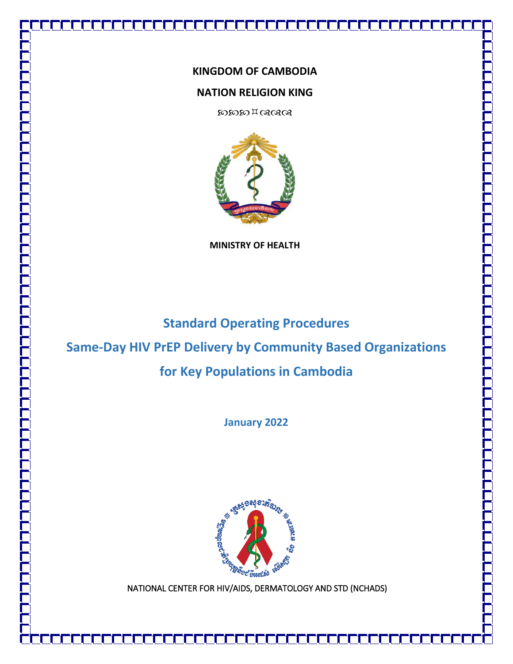# **KINGDOM OF CAMBODIA**

# **NATION RELIGION KING**

**DODO HOSOS** 



**MINISTRY OF HEALTH** 

# **Standard Operating Procedures**

# **Same-Day HIV PrEP Delivery by Community Based Organizations**

# **for Key Populations in Cambodia**

**January 2022**



NATIONAL CENTER FOR HIV/AIDS, DERMATOLOGY AND STD (NCHADS)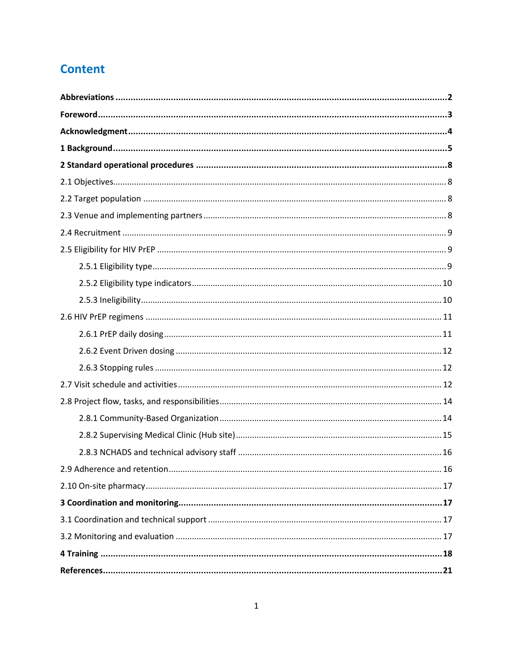# **Content**

<span id="page-1-0"></span>

| 2.9 Adherence and retention<br>16 |
|-----------------------------------|
|                                   |
|                                   |
|                                   |
|                                   |
|                                   |
|                                   |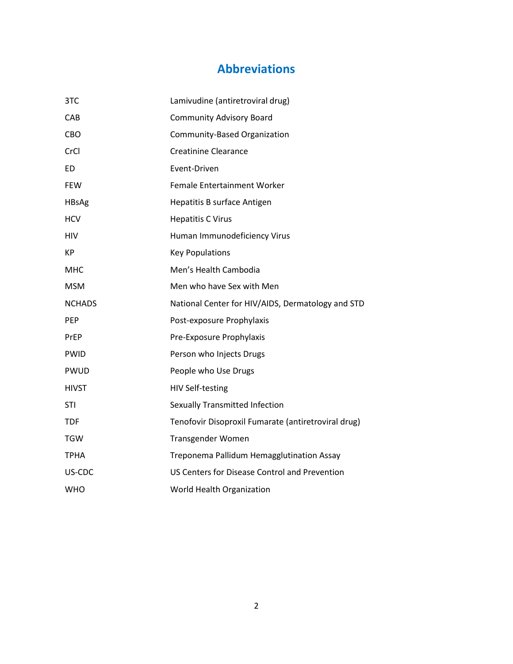# **Abbreviations**

| 3TC           | Lamivudine (antiretroviral drug)                    |
|---------------|-----------------------------------------------------|
| CAB           | <b>Community Advisory Board</b>                     |
| <b>CBO</b>    | Community-Based Organization                        |
| CrCl          | <b>Creatinine Clearance</b>                         |
| ED            | Event-Driven                                        |
| <b>FEW</b>    | Female Entertainment Worker                         |
| <b>HBsAg</b>  | Hepatitis B surface Antigen                         |
| <b>HCV</b>    | <b>Hepatitis C Virus</b>                            |
| <b>HIV</b>    | Human Immunodeficiency Virus                        |
| <b>KP</b>     | <b>Key Populations</b>                              |
| <b>MHC</b>    | Men's Health Cambodia                               |
| <b>MSM</b>    | Men who have Sex with Men                           |
| <b>NCHADS</b> | National Center for HIV/AIDS, Dermatology and STD   |
| <b>PEP</b>    | Post-exposure Prophylaxis                           |
| PrEP          | Pre-Exposure Prophylaxis                            |
| <b>PWID</b>   | Person who Injects Drugs                            |
| <b>PWUD</b>   | People who Use Drugs                                |
| <b>HIVST</b>  | <b>HIV Self-testing</b>                             |
| <b>STI</b>    | <b>Sexually Transmitted Infection</b>               |
| <b>TDF</b>    | Tenofovir Disoproxil Fumarate (antiretroviral drug) |
| <b>TGW</b>    | Transgender Women                                   |
| ТРНА          | Treponema Pallidum Hemagglutination Assay           |
| US-CDC        | US Centers for Disease Control and Prevention       |
| <b>WHO</b>    | World Health Organization                           |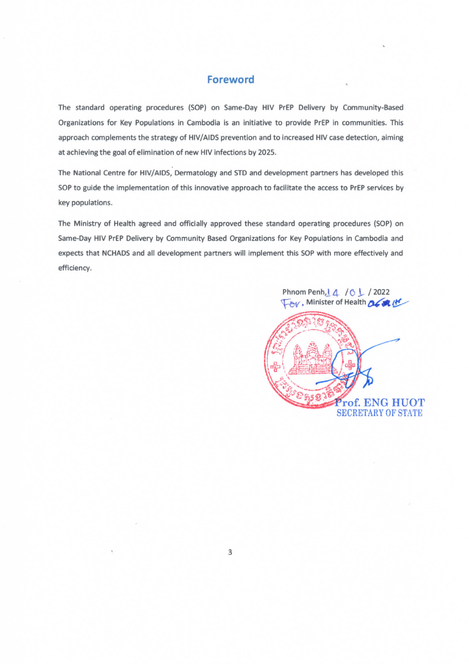# **Foreword**

The standard operating procedures (SOP) on Same-Day HIV PrEP Delivery by Community-Based Organizations for Key Populations in Cambodia is an initiative to provide PrEP in communities. This approach complements the strategy of HIV/AIDS prevention and to increased HIV case detection, aiming at achieving the goal of elimination of new HIV infections by 2025.

The National Centre for HIV/AIDS, Dermatology and STD and development partners has developed this SOP to guide the implementation of this innovative approach to facilitate the access to PrEP services by key populations.

The Ministry of Health agreed and officially approved these standard operating procedures (SOP) on Same-Day HIV PrEP Delivery by Community Based Organizations for Key Populations in Cambodia and expects that NCHADS and all development partners will implement this SOP with more effectively and efficiency.

> Phnom Penh, | 4 / 6 ↓ / 2022 by, Minister of Health 26 x 14

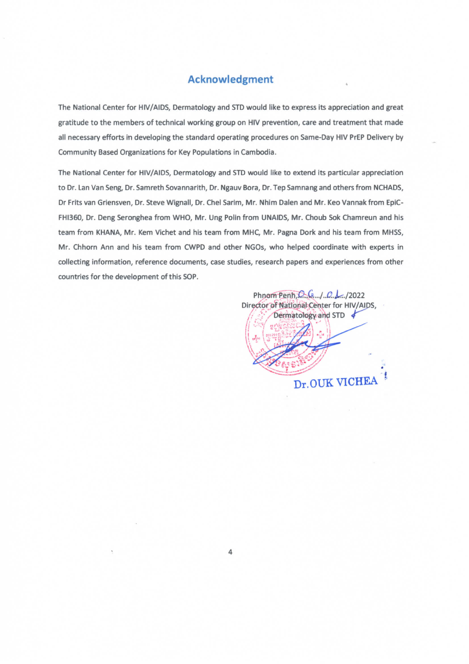# **Acknowledgment**

The National Center for HIV/AIDS, Dermatology and STD would like to express its appreciation and great gratitude to the members of technical working group on HIV prevention, care and treatment that made all necessary efforts in developing the standard operating procedures on Same-Day HIV PrEP Delivery by Community Based Organizations for Key Populations in Cambodia.

The National Center for HIV/AIDS, Dermatology and STD would like to extend its particular appreciation to Dr. Lan Van Seng, Dr. Samreth Sovannarith, Dr. Ngauv Bora, Dr. Tep Samnang and others from NCHADS, Dr Frits van Griensven, Dr. Steve Wignall, Dr. Chel Sarim, Mr. Nhim Dalen and Mr. Keo Vannak from EpiC-FHI360, Dr. Deng Seronghea from WHO, Mr. Ung Polin from UNAIDS, Mr. Choub Sok Chamreun and his team from KHANA, Mr. Kem Vichet and his team from MHC, Mr. Pagna Dork and his team from MHSS, Mr. Chhorn Ann and his team from CWPD and other NGOs, who helped coordinate with experts in collecting information, reference documents, case studies, research papers and experiences from other countries for the development of this SOP.

Phnom Penh, O. C. 1. 0. 1. 12022 Director of National Center for HIV/AIDS, Dermatology and STD Dr.OUK VICHEA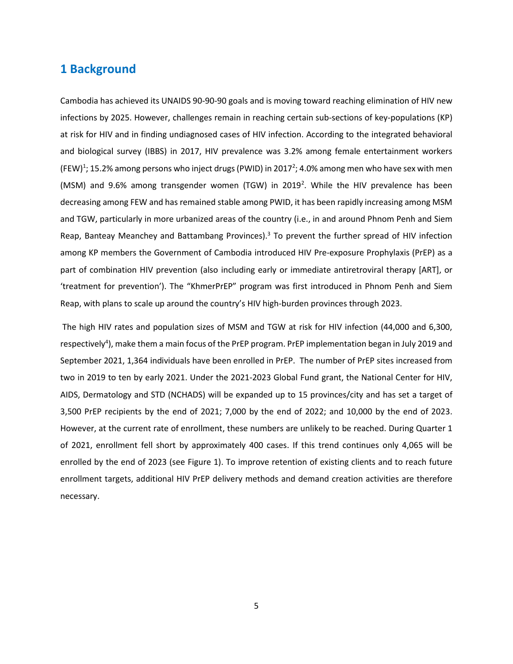# <span id="page-5-0"></span>**1 Background**

Cambodia has achieved its UNAIDS 90-90-90 goals and is moving toward reaching elimination of HIV new infections by 2025. However, challenges remain in reaching certain sub-sections of key-populations (KP) at risk for HIV and in finding undiagnosed cases of HIV infection. According to the integrated behavioral and biological survey (IBBS) in 2017, HIV prevalence was 3.2% among female entertainment workers (FEW)<sup>1</sup>; 15.2% among persons who inject drugs (PWID) in 2017<sup>2</sup>; 4.0% among men who have sex with men (MSM) and 9.6% among transgender women (TGW) in 2019<sup>2</sup>. While the HIV prevalence has been decreasing among FEW and has remained stable among PWID, it has been rapidly increasing among MSM and TGW, particularly in more urbanized areas of the country (i.e., in and around Phnom Penh and Siem Reap, Banteay Meanchey and Battambang Provinces).<sup>3</sup> To prevent the further spread of HIV infection among KP members the Government of Cambodia introduced HIV Pre-exposure Prophylaxis (PrEP) as a part of combination HIV prevention (also including early or immediate antiretroviral therapy [ART], or 'treatment for prevention'). The "KhmerPrEP" program was first introduced in Phnom Penh and Siem Reap, with plans to scale up around the country's HIV high-burden provinces through 2023.

The high HIV rates and population sizes of MSM and TGW at risk for HIV infection (44,000 and 6,300, respectively<sup>4</sup>), make them a main focus of the PrEP program. PrEP implementation began in July 2019 and September 2021, 1,364 individuals have been enrolled in PrEP. The number of PrEP sites increased from two in 2019 to ten by early 2021. Under the 2021-2023 Global Fund grant, the National Center for HIV, AIDS, Dermatology and STD (NCHADS) will be expanded up to 15 provinces/city and has set a target of 3,500 PrEP recipients by the end of 2021; 7,000 by the end of 2022; and 10,000 by the end of 2023. However, at the current rate of enrollment, these numbers are unlikely to be reached. During Quarter 1 of 2021, enrollment fell short by approximately 400 cases. If this trend continues only 4,065 will be enrolled by the end of 2023 (see Figure 1). To improve retention of existing clients and to reach future enrollment targets, additional HIV PrEP delivery methods and demand creation activities are therefore necessary.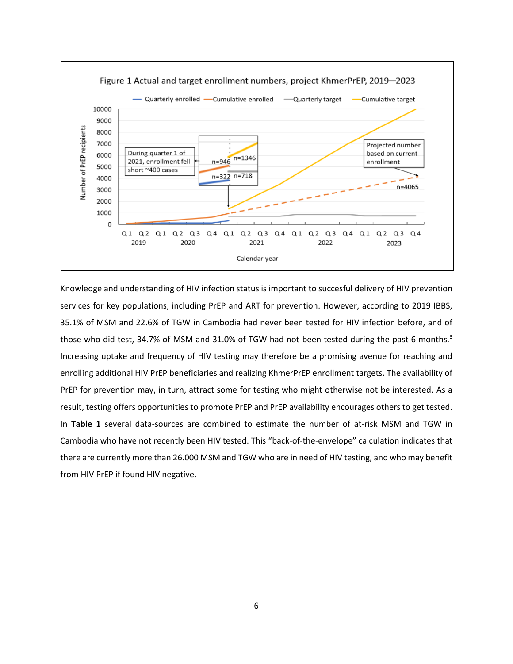

Knowledge and understanding of HIV infection status is important to succesful delivery of HIV prevention services for key populations, including PrEP and ART for prevention. However, according to 2019 IBBS, 35.1% of MSM and 22.6% of TGW in Cambodia had never been tested for HIV infection before, and of those who did test, 34.7% of MSM and 31.0% of TGW had not been tested during the past 6 months.<sup>3</sup> Increasing uptake and frequency of HIV testing may therefore be a promising avenue for reaching and enrolling additional HIV PrEP beneficiaries and realizing KhmerPrEP enrollment targets. The availability of PrEP for prevention may, in turn, attract some for testing who might otherwise not be interested. As a result, testing offers opportunities to promote PrEP and PrEP availability encourages others to get tested. In **Table 1** several data-sources are combined to estimate the number of at-risk MSM and TGW in Cambodia who have not recently been HIV tested. This "back-of-the-envelope" calculation indicates that there are currently more than 26.000 MSM and TGW who are in need of HIV testing, and who may benefit from HIV PrEP if found HIV negative.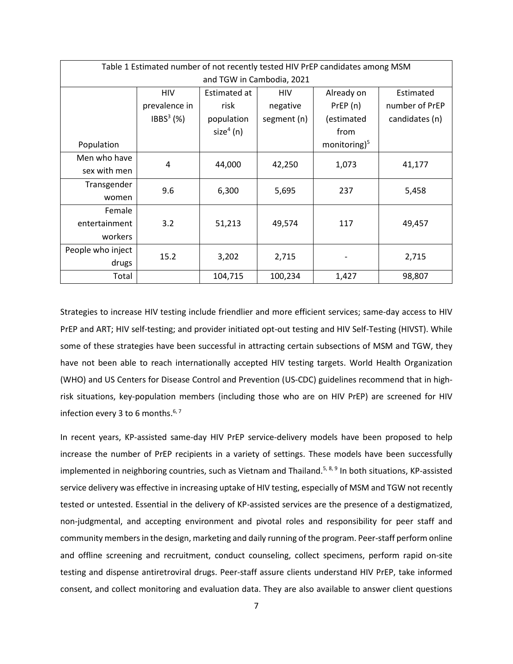| Table 1 Estimated number of not recently tested HIV PrEP candidates among MSM |               |              |             |                |                |  |  |
|-------------------------------------------------------------------------------|---------------|--------------|-------------|----------------|----------------|--|--|
| and TGW in Cambodia, 2021                                                     |               |              |             |                |                |  |  |
|                                                                               | HIV           | Estimated at | <b>HIV</b>  | Already on     | Estimated      |  |  |
|                                                                               | prevalence in | risk         | negative    | PrEP(n)        | number of PrEP |  |  |
|                                                                               | $IBBS3$ (%)   | population   | segment (n) | (estimated     | candidates (n) |  |  |
|                                                                               |               | $size4$ (n)  |             | from           |                |  |  |
| Population                                                                    |               |              |             | monitoring $5$ |                |  |  |
| Men who have                                                                  | 4             | 44,000       |             | 1,073          | 41,177         |  |  |
| sex with men                                                                  |               |              | 42,250      |                |                |  |  |
| Transgender                                                                   | 9.6           | 6,300        | 5,695       | 237            | 5,458          |  |  |
| women                                                                         |               |              |             |                |                |  |  |
| Female                                                                        |               |              |             |                |                |  |  |
| entertainment                                                                 | 3.2           | 51,213       | 49,574      | 117            | 49,457         |  |  |
| workers                                                                       |               |              |             |                |                |  |  |
| People who inject                                                             | 15.2          | 3,202        | 2,715       |                | 2,715          |  |  |
| drugs                                                                         |               |              |             |                |                |  |  |
| Total                                                                         |               | 104,715      | 100,234     | 1,427          | 98,807         |  |  |

Strategies to increase HIV testing include friendlier and more efficient services; same-day access to HIV PrEP and ART; HIV self-testing; and provider initiated opt-out testing and HIV Self-Testing (HIVST). While some of these strategies have been successful in attracting certain subsections of MSM and TGW, they have not been able to reach internationally accepted HIV testing targets. World Health Organization (WHO) and US Centers for Disease Control and Prevention (US-CDC) guidelines recommend that in highrisk situations, key-population members (including those who are on HIV PrEP) are screened for HIV infection every 3 to 6 months. $^{\rm 6,7}$ 

In recent years, KP-assisted same-day HIV PrEP service-delivery models have been proposed to help increase the number of PrEP recipients in a variety of settings. These models have been successfully implemented in neighboring countries, such as Vietnam and Thailand.<sup>5, 8, 9</sup> In both situations, KP-assisted service delivery was effective in increasing uptake of HIV testing, especially of MSM and TGW not recently tested or untested. Essential in the delivery of KP-assisted services are the presence of a destigmatized, non-judgmental, and accepting environment and pivotal roles and responsibility for peer staff and community members in the design, marketing and daily running of the program. Peer-staff perform online and offline screening and recruitment, conduct counseling, collect specimens, perform rapid on-site testing and dispense antiretroviral drugs. Peer-staff assure clients understand HIV PrEP, take informed consent, and collect monitoring and evaluation data. They are also available to answer client questions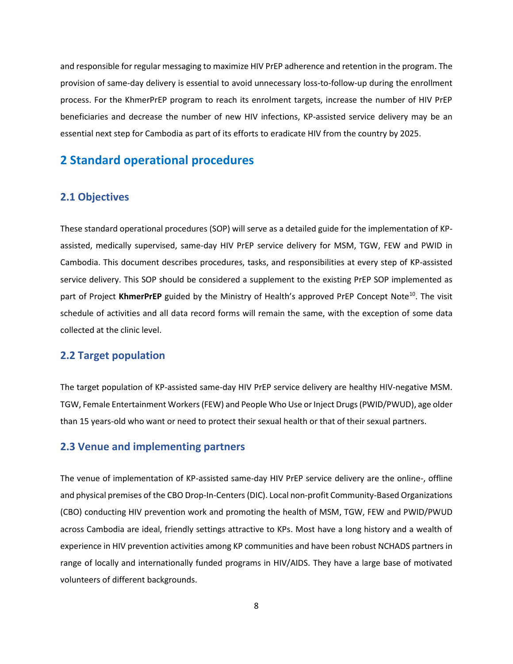and responsible for regular messaging to maximize HIV PrEP adherence and retention in the program. The provision of same-day delivery is essential to avoid unnecessary loss-to-follow-up during the enrollment process. For the KhmerPrEP program to reach its enrolment targets, increase the number of HIV PrEP beneficiaries and decrease the number of new HIV infections, KP-assisted service delivery may be an essential next step for Cambodia as part of its efforts to eradicate HIV from the country by 2025.

# <span id="page-8-0"></span>**2 Standard operational procedures**

## <span id="page-8-1"></span>**2.1 Objectives**

These standard operational procedures (SOP) will serve as a detailed guide for the implementation of KPassisted, medically supervised, same-day HIV PrEP service delivery for MSM, TGW, FEW and PWID in Cambodia. This document describes procedures, tasks, and responsibilities at every step of KP-assisted service delivery. This SOP should be considered a supplement to the existing PrEP SOP implemented as part of Project KhmerPrEP guided by the Ministry of Health's approved PrEP Concept Note<sup>10</sup>. The visit schedule of activities and all data record forms will remain the same, with the exception of some data collected at the clinic level.

# <span id="page-8-2"></span>**2.2 Target population**

The target population of KP-assisted same-day HIV PrEP service delivery are healthy HIV-negative MSM. TGW, Female Entertainment Workers (FEW) and People Who Use or Inject Drugs (PWID/PWUD), age older than 15 years-old who want or need to protect their sexual health or that of their sexual partners.

#### <span id="page-8-3"></span>**2.3 Venue and implementing partners**

The venue of implementation of KP-assisted same-day HIV PrEP service delivery are the online-, offline and physical premises of the CBO Drop-In-Centers (DIC). Local non-profit Community-Based Organizations (CBO) conducting HIV prevention work and promoting the health of MSM, TGW, FEW and PWID/PWUD across Cambodia are ideal, friendly settings attractive to KPs. Most have a long history and a wealth of experience in HIV prevention activities among KP communities and have been robust NCHADS partners in range of locally and internationally funded programs in HIV/AIDS. They have a large base of motivated volunteers of different backgrounds.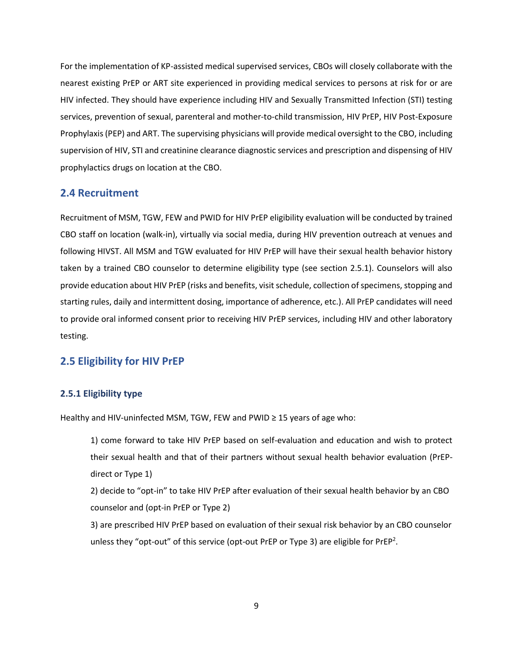For the implementation of KP-assisted medical supervised services, CBOs will closely collaborate with the nearest existing PrEP or ART site experienced in providing medical services to persons at risk for or are HIV infected. They should have experience including HIV and Sexually Transmitted Infection (STI) testing services, prevention of sexual, parenteral and mother-to-child transmission, HIV PrEP, HIV Post-Exposure Prophylaxis (PEP) and ART. The supervising physicians will provide medical oversight to the CBO, including supervision of HIV, STI and creatinine clearance diagnostic services and prescription and dispensing of HIV prophylactics drugs on location at the CBO.

## <span id="page-9-0"></span>**2.4 Recruitment**

Recruitment of MSM, TGW, FEW and PWID for HIV PrEP eligibility evaluation will be conducted by trained CBO staff on location (walk-in), virtually via social media, during HIV prevention outreach at venues and following HIVST. All MSM and TGW evaluated for HIV PrEP will have their sexual health behavior history taken by a trained CBO counselor to determine eligibility type (see section 2.5.1). Counselors will also provide education about HIV PrEP (risks and benefits, visit schedule, collection of specimens, stopping and starting rules, daily and intermittent dosing, importance of adherence, etc.). All PrEP candidates will need to provide oral informed consent prior to receiving HIV PrEP services, including HIV and other laboratory testing.

#### <span id="page-9-1"></span>**2.5 Eligibility for HIV PrEP**

#### <span id="page-9-2"></span>**2.5.1 Eligibility type**

Healthy and HIV-uninfected MSM, TGW, FEW and PWID ≥ 15 years of age who:

1) come forward to take HIV PrEP based on self-evaluation and education and wish to protect their sexual health and that of their partners without sexual health behavior evaluation (PrEPdirect or Type 1)

2) decide to "opt-in" to take HIV PrEP after evaluation of their sexual health behavior by an CBO counselor and (opt-in PrEP or Type 2)

3) are prescribed HIV PrEP based on evaluation of their sexual risk behavior by an CBO counselor unless they "opt-out" of this service (opt-out PrEP or Type 3) are eligible for PrEP<sup>2</sup>.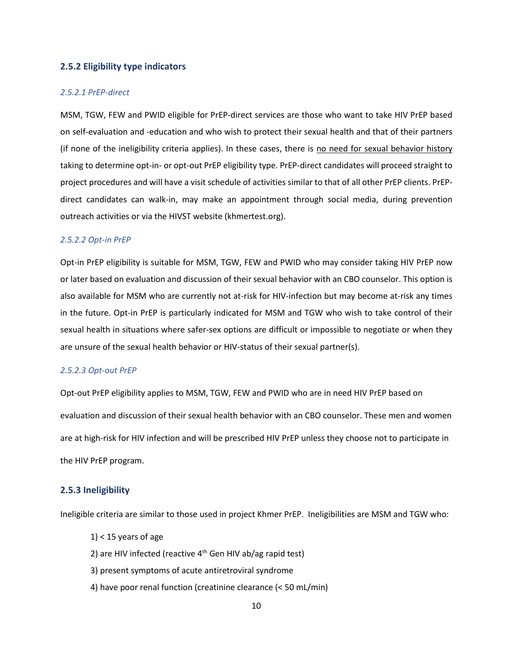#### <span id="page-10-0"></span>**2.5.2 Eligibility type indicators**

#### *2.5.2.1 PrEP-direct*

MSM, TGW, FEW and PWID eligible for PrEP-direct services are those who want to take HIV PrEP based on self-evaluation and -education and who wish to protect their sexual health and that of their partners (if none of the ineligibility criteria applies). In these cases, there is no need for sexual behavior history taking to determine opt-in- or opt-out PrEP eligibility type. PrEP-direct candidates will proceed straight to project procedures and will have a visit schedule of activities similar to that of all other PrEP clients. PrEPdirect candidates can walk-in, may make an appointment through social media, during prevention outreach activities or via the HIVST website (khmertest.org).

#### *2.5.2.2 Opt-in PrEP*

Opt-in PrEP eligibility is suitable for MSM, TGW, FEW and PWID who may consider taking HIV PrEP now or later based on evaluation and discussion of their sexual behavior with an CBO counselor. This option is also available for MSM who are currently not at-risk for HIV-infection but may become at-risk any times in the future. Opt-in PrEP is particularly indicated for MSM and TGW who wish to take control of their sexual health in situations where safer-sex options are difficult or impossible to negotiate or when they are unsure of the sexual health behavior or HIV-status of their sexual partner(s).

#### *2.5.2.3 Opt-out PrEP*

Opt-out PrEP eligibility applies to MSM, TGW, FEW and PWID who are in need HIV PrEP based on evaluation and discussion of their sexual health behavior with an CBO counselor. These men and women are at high-risk for HIV infection and will be prescribed HIV PrEP unless they choose not to participate in the HIV PrEP program.

#### <span id="page-10-1"></span>**2.5.3 Ineligibility**

Ineligible criteria are similar to those used in project Khmer PrEP. Ineligibilities are MSM and TGW who:

- $1$  < 15 years of age
- 2) are HIV infected (reactive  $4<sup>th</sup>$  Gen HIV ab/ag rapid test)
- 3) present symptoms of acute antiretroviral syndrome
- 4) have poor renal function (creatinine clearance (< 50 mL/min)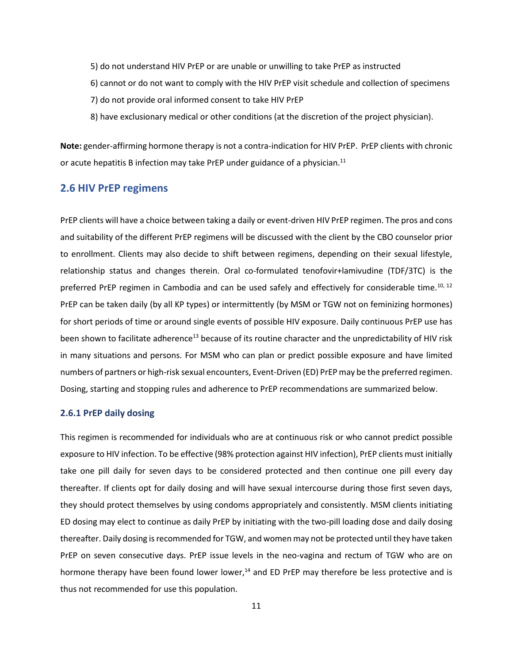- 5) do not understand HIV PrEP or are unable or unwilling to take PrEP as instructed
- 6) cannot or do not want to comply with the HIV PrEP visit schedule and collection of specimens
- 7) do not provide oral informed consent to take HIV PrEP
- 8) have exclusionary medical or other conditions (at the discretion of the project physician).

**Note:** gender-affirming hormone therapy is not a contra-indication for HIV PrEP. PrEP clients with chronic or acute hepatitis B infection may take PrEP under guidance of a physician.<sup>11</sup>

#### <span id="page-11-0"></span>**2.6 HIV PrEP regimens**

PrEP clients will have a choice between taking a daily or event-driven HIV PrEP regimen. The pros and cons and suitability of the different PrEP regimens will be discussed with the client by the CBO counselor prior to enrollment. Clients may also decide to shift between regimens, depending on their sexual lifestyle, relationship status and changes therein. Oral co-formulated tenofovir+lamivudine (TDF/3TC) is the preferred PrEP regimen in Cambodia and can be used safely and effectively for considerable time.<sup>10, 12</sup> PrEP can be taken daily (by all KP types) or intermittently (by MSM or TGW not on feminizing hormones) for short periods of time or around single events of possible HIV exposure. Daily continuous PrEP use has been shown to facilitate adherence<sup>13</sup> because of its routine character and the unpredictability of HIV risk in many situations and persons. For MSM who can plan or predict possible exposure and have limited numbers of partners or high-risk sexual encounters, Event-Driven (ED) PrEP may be the preferred regimen. Dosing, starting and stopping rules and adherence to PrEP recommendations are summarized below.

#### <span id="page-11-1"></span>**2.6.1 PrEP daily dosing**

This regimen is recommended for individuals who are at continuous risk or who cannot predict possible exposure to HIV infection. To be effective (98% protection against HIV infection), PrEP clients must initially take one pill daily for seven days to be considered protected and then continue one pill every day thereafter. If clients opt for daily dosing and will have sexual intercourse during those first seven days, they should protect themselves by using condoms appropriately and consistently. MSM clients initiating ED dosing may elect to continue as daily PrEP by initiating with the two-pill loading dose and daily dosing thereafter. Daily dosing is recommended for TGW, and women may not be protected until they have taken PrEP on seven consecutive days. PrEP issue levels in the neo-vagina and rectum of TGW who are on hormone therapy have been found lower lower, $14$  and ED PrEP may therefore be less protective and is thus not recommended for use this population.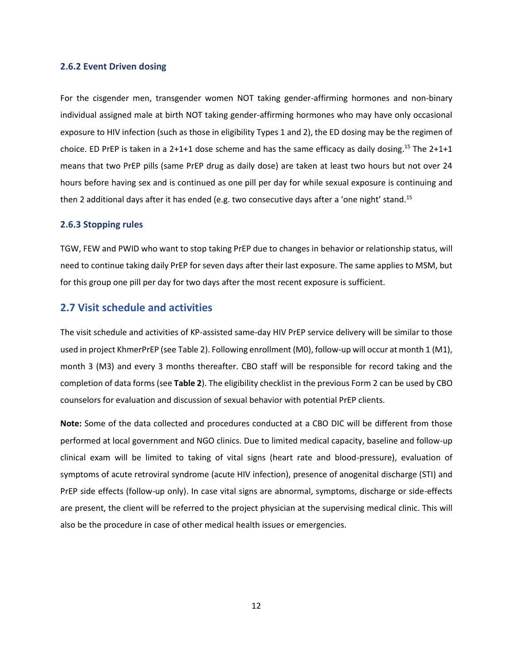#### <span id="page-12-0"></span>**2.6.2 Event Driven dosing**

For the cisgender men, transgender women NOT taking gender-affirming hormones and non-binary individual assigned male at birth NOT taking gender-affirming hormones who may have only occasional exposure to HIV infection (such as those in eligibility Types 1 and 2), the ED dosing may be the regimen of choice. ED PrEP is taken in a 2+1+1 dose scheme and has the same efficacy as daily dosing.<sup>15</sup> The 2+1+1 means that two PrEP pills (same PrEP drug as daily dose) are taken at least two hours but not over 24 hours before having sex and is continued as one pill per day for while sexual exposure is continuing and then 2 additional days after it has ended (e.g. two consecutive days after a 'one night' stand.<sup>15</sup>

#### <span id="page-12-1"></span>**2.6.3 Stopping rules**

TGW, FEW and PWID who want to stop taking PrEP due to changes in behavior or relationship status, will need to continue taking daily PrEP for seven days after their last exposure. The same applies to MSM, but for this group one pill per day for two days after the most recent exposure is sufficient.

### <span id="page-12-2"></span>**2.7 Visit schedule and activities**

The visit schedule and activities of KP-assisted same-day HIV PrEP service delivery will be similar to those used in project KhmerPrEP (see Table 2). Following enrollment (M0), follow-up will occur at month 1 (M1), month 3 (M3) and every 3 months thereafter. CBO staff will be responsible for record taking and the completion of data forms (see **Table 2**). The eligibility checklist in the previous Form 2 can be used by CBO counselors for evaluation and discussion of sexual behavior with potential PrEP clients.

**Note:** Some of the data collected and procedures conducted at a CBO DIC will be different from those performed at local government and NGO clinics. Due to limited medical capacity, baseline and follow-up clinical exam will be limited to taking of vital signs (heart rate and blood-pressure), evaluation of symptoms of acute retroviral syndrome (acute HIV infection), presence of anogenital discharge (STI) and PrEP side effects (follow-up only). In case vital signs are abnormal, symptoms, discharge or side-effects are present, the client will be referred to the project physician at the supervising medical clinic. This will also be the procedure in case of other medical health issues or emergencies.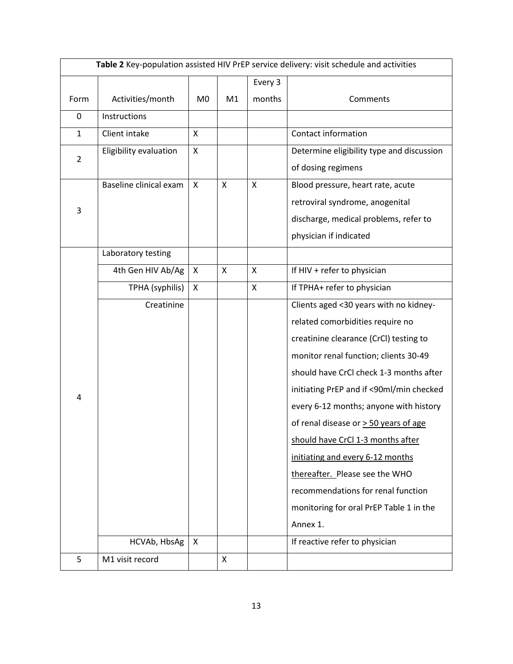| Table 2 Key-population assisted HIV PrEP service delivery: visit schedule and activities |                        |                |    |         |                                           |
|------------------------------------------------------------------------------------------|------------------------|----------------|----|---------|-------------------------------------------|
|                                                                                          |                        |                |    | Every 3 |                                           |
| Form                                                                                     | Activities/month       | M <sub>0</sub> | M1 | months  | Comments                                  |
| 0                                                                                        | Instructions           |                |    |         |                                           |
| $\mathbf{1}$                                                                             | Client intake          | X              |    |         | Contact information                       |
| $\overline{2}$                                                                           | Eligibility evaluation | X              |    |         | Determine eligibility type and discussion |
|                                                                                          |                        |                |    |         | of dosing regimens                        |
|                                                                                          | Baseline clinical exam | X              | X  | X       | Blood pressure, heart rate, acute         |
| 3                                                                                        |                        |                |    |         | retroviral syndrome, anogenital           |
|                                                                                          |                        |                |    |         | discharge, medical problems, refer to     |
|                                                                                          |                        |                |    |         | physician if indicated                    |
|                                                                                          | Laboratory testing     |                |    |         |                                           |
|                                                                                          | 4th Gen HIV Ab/Ag      | X              | X  | X       | If HIV + refer to physician               |
|                                                                                          | TPHA (syphilis)        | X              |    | X       | If TPHA+ refer to physician               |
|                                                                                          | Creatinine             |                |    |         | Clients aged <30 years with no kidney-    |
|                                                                                          |                        |                |    |         | related comorbidities require no          |
|                                                                                          |                        |                |    |         | creatinine clearance (CrCl) testing to    |
|                                                                                          |                        |                |    |         | monitor renal function; clients 30-49     |
|                                                                                          |                        |                |    |         | should have CrCl check 1-3 months after   |
| 4                                                                                        |                        |                |    |         | initiating PrEP and if <90ml/min checked  |
|                                                                                          |                        |                |    |         | every 6-12 months; anyone with history    |
|                                                                                          |                        |                |    |         | of renal disease or $>$ 50 years of age   |
|                                                                                          |                        |                |    |         | should have CrCl 1-3 months after         |
|                                                                                          |                        |                |    |         | initiating and every 6-12 months          |
|                                                                                          |                        |                |    |         | thereafter. Please see the WHO            |
|                                                                                          |                        |                |    |         | recommendations for renal function        |
|                                                                                          |                        |                |    |         | monitoring for oral PrEP Table 1 in the   |
|                                                                                          |                        |                |    |         | Annex 1.                                  |
|                                                                                          | HCVAb, HbsAg           | X              |    |         | If reactive refer to physician            |
| 5                                                                                        | M1 visit record        |                | X  |         |                                           |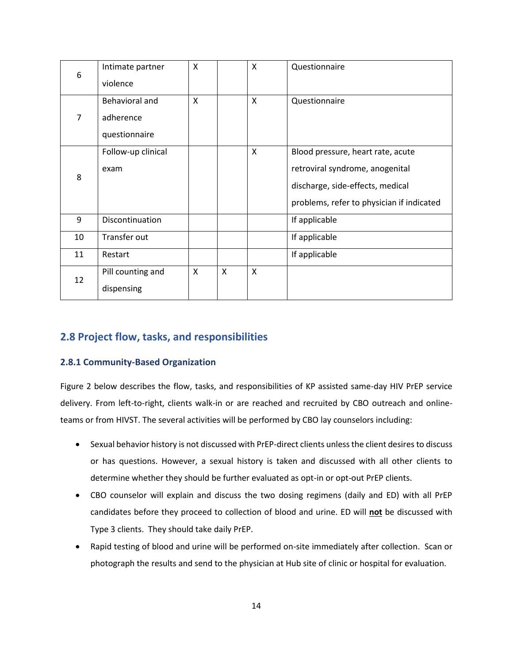| 6              | Intimate partner<br>violence                 | X |   | X            | Questionnaire                                                                                                                                         |
|----------------|----------------------------------------------|---|---|--------------|-------------------------------------------------------------------------------------------------------------------------------------------------------|
| $\overline{7}$ | Behavioral and<br>adherence<br>questionnaire | X |   | X            | Questionnaire                                                                                                                                         |
| 8              | Follow-up clinical<br>exam                   |   |   | X            | Blood pressure, heart rate, acute<br>retroviral syndrome, anogenital<br>discharge, side-effects, medical<br>problems, refer to physician if indicated |
| 9              | Discontinuation                              |   |   |              | If applicable                                                                                                                                         |
| 10             | Transfer out                                 |   |   |              | If applicable                                                                                                                                         |
| 11             | Restart                                      |   |   |              | If applicable                                                                                                                                         |
| 12             | Pill counting and<br>dispensing              | X | X | $\mathsf{X}$ |                                                                                                                                                       |

# <span id="page-14-0"></span>**2.8 Project flow, tasks, and responsibilities**

#### <span id="page-14-1"></span>**2.8.1 Community-Based Organization**

Figure 2 below describes the flow, tasks, and responsibilities of KP assisted same-day HIV PrEP service delivery. From left-to-right, clients walk-in or are reached and recruited by CBO outreach and onlineteams or from HIVST. The several activities will be performed by CBO lay counselors including:

- Sexual behavior history is not discussed with PrEP-direct clients unless the client desires to discuss or has questions. However, a sexual history is taken and discussed with all other clients to determine whether they should be further evaluated as opt-in or opt-out PrEP clients.
- CBO counselor will explain and discuss the two dosing regimens (daily and ED) with all PrEP candidates before they proceed to collection of blood and urine. ED will **not** be discussed with Type 3 clients. They should take daily PrEP.
- Rapid testing of blood and urine will be performed on-site immediately after collection. Scan or photograph the results and send to the physician at Hub site of clinic or hospital for evaluation.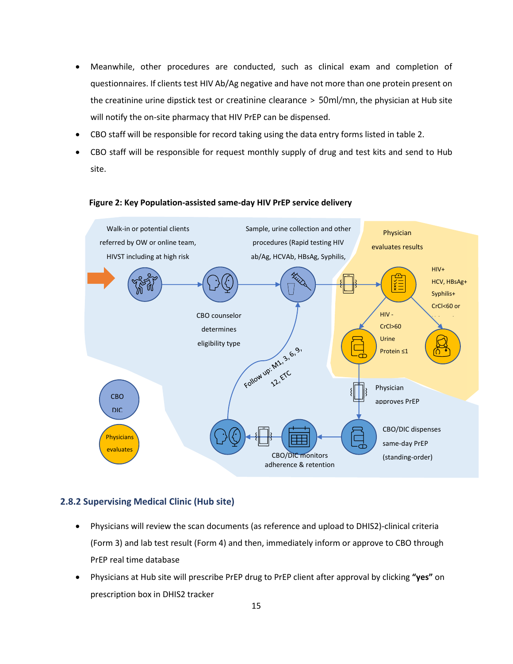- Meanwhile, other procedures are conducted, such as clinical exam and completion of questionnaires. If clients test HIV Ab/Ag negative and have not more than one protein present on the creatinine urine dipstick test or creatinine clearance > 50ml/mn, the physician at Hub site will notify the on-site pharmacy that HIV PrEP can be dispensed.
- CBO staff will be responsible for record taking using the data entry forms listed in table 2.
- CBO staff will be responsible for request monthly supply of drug and test kits and send to Hub site.



#### **Figure 2: Key Population-assisted same-day HIV PrEP service delivery**

#### <span id="page-15-0"></span>**2.8.2 Supervising Medical Clinic (Hub site)**

- Physicians will review the scan documents (as reference and upload to DHIS2)-clinical criteria (Form 3) and lab test result (Form 4) and then, immediately inform or approve to CBO through PrEP real time database
- Physicians at Hub site will prescribe PrEP drug to PrEP client after approval by clicking **"yes"** on prescription box in DHIS2 tracker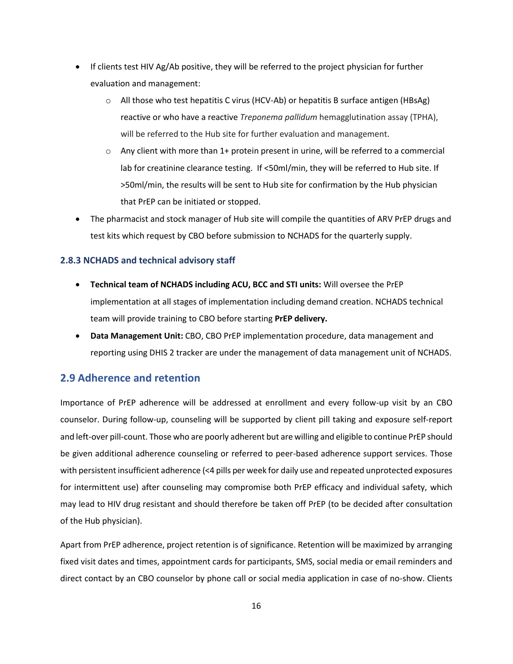- If clients test HIV Ag/Ab positive, they will be referred to the project physician for further evaluation and management:
	- $\circ$  All those who test hepatitis C virus (HCV-Ab) or hepatitis B surface antigen (HBsAg) reactive or who have a reactive *Treponema pallidum* hemagglutination assay (TPHA), will be referred to the Hub site for further evaluation and management.
	- $\circ$  Any client with more than 1+ protein present in urine, will be referred to a commercial lab for creatinine clearance testing. If <50ml/min, they will be referred to Hub site. If >50ml/min, the results will be sent to Hub site for confirmation by the Hub physician that PrEP can be initiated or stopped.
- The pharmacist and stock manager of Hub site will compile the quantities of ARV PrEP drugs and test kits which request by CBO before submission to NCHADS for the quarterly supply.

#### <span id="page-16-0"></span>**2.8.3 NCHADS and technical advisory staff**

- **Technical team of NCHADS including ACU, BCC and STI units:** Will oversee the PrEP implementation at all stages of implementation including demand creation. NCHADS technical team will provide training to CBO before starting **PrEP delivery.**
- **Data Management Unit:** CBO, CBO PrEP implementation procedure, data management and reporting using DHIS 2 tracker are under the management of data management unit of NCHADS.

## <span id="page-16-1"></span>**2.9 Adherence and retention**

Importance of PrEP adherence will be addressed at enrollment and every follow-up visit by an CBO counselor. During follow-up, counseling will be supported by client pill taking and exposure self-report and left-over pill-count. Those who are poorly adherent but are willing and eligible to continue PrEP should be given additional adherence counseling or referred to peer-based adherence support services. Those with persistent insufficient adherence (<4 pills per week for daily use and repeated unprotected exposures for intermittent use) after counseling may compromise both PrEP efficacy and individual safety, which may lead to HIV drug resistant and should therefore be taken off PrEP (to be decided after consultation of the Hub physician).

Apart from PrEP adherence, project retention is of significance. Retention will be maximized by arranging fixed visit dates and times, appointment cards for participants, SMS, social media or email reminders and direct contact by an CBO counselor by phone call or social media application in case of no-show. Clients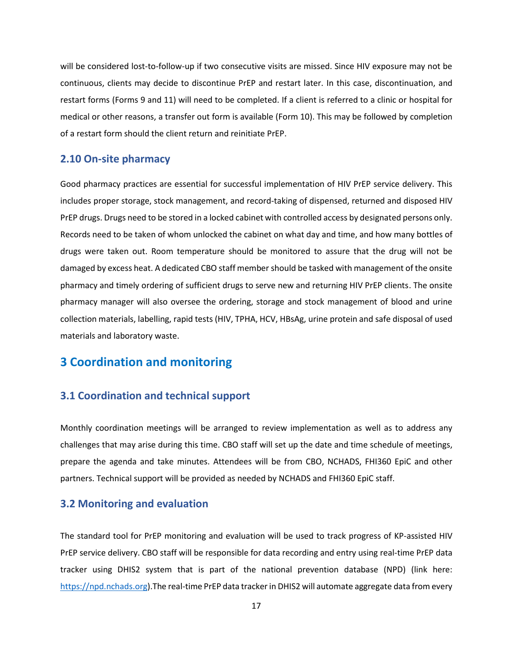will be considered lost-to-follow-up if two consecutive visits are missed. Since HIV exposure may not be continuous, clients may decide to discontinue PrEP and restart later. In this case, discontinuation, and restart forms (Forms 9 and 11) will need to be completed. If a client is referred to a clinic or hospital for medical or other reasons, a transfer out form is available (Form 10). This may be followed by completion of a restart form should the client return and reinitiate PrEP.

#### <span id="page-17-0"></span>**2.10 On-site pharmacy**

Good pharmacy practices are essential for successful implementation of HIV PrEP service delivery. This includes proper storage, stock management, and record-taking of dispensed, returned and disposed HIV PrEP drugs. Drugs need to be stored in a locked cabinet with controlled access by designated persons only. Records need to be taken of whom unlocked the cabinet on what day and time, and how many bottles of drugs were taken out. Room temperature should be monitored to assure that the drug will not be damaged by excess heat. A dedicated CBO staff member should be tasked with management of the onsite pharmacy and timely ordering of sufficient drugs to serve new and returning HIV PrEP clients. The onsite pharmacy manager will also oversee the ordering, storage and stock management of blood and urine collection materials, labelling, rapid tests (HIV, TPHA, HCV, HBsAg, urine protein and safe disposal of used materials and laboratory waste.

# <span id="page-17-1"></span>**3 Coordination and monitoring**

# <span id="page-17-2"></span>**3.1 Coordination and technical support**

Monthly coordination meetings will be arranged to review implementation as well as to address any challenges that may arise during this time. CBO staff will set up the date and time schedule of meetings, prepare the agenda and take minutes. Attendees will be from CBO, NCHADS, FHI360 EpiC and other partners. Technical support will be provided as needed by NCHADS and FHI360 EpiC staff.

## <span id="page-17-3"></span>**3.2 Monitoring and evaluation**

The standard tool for PrEP monitoring and evaluation will be used to track progress of KP-assisted HIV PrEP service delivery. CBO staff will be responsible for data recording and entry using real-time PrEP data tracker using DHIS2 system that is part of the national prevention database (NPD) (link here: [https://npd.nchads.org\)](https://npd.nchads.org/).The real-time PrEP data tracker in DHIS2 will automate aggregate data from every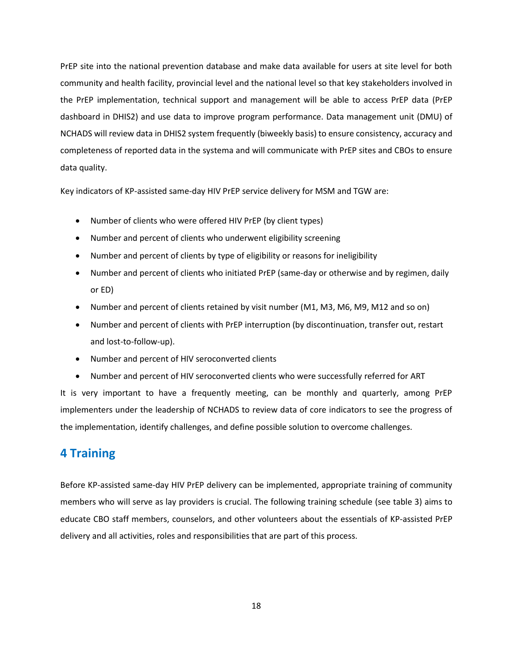PrEP site into the national prevention database and make data available for users at site level for both community and health facility, provincial level and the national level so that key stakeholders involved in the PrEP implementation, technical support and management will be able to access PrEP data (PrEP dashboard in DHIS2) and use data to improve program performance. Data management unit (DMU) of NCHADS will review data in DHIS2 system frequently (biweekly basis) to ensure consistency, accuracy and completeness of reported data in the systema and will communicate with PrEP sites and CBOs to ensure data quality.

Key indicators of KP-assisted same-day HIV PrEP service delivery for MSM and TGW are:

- Number of clients who were offered HIV PrEP (by client types)
- Number and percent of clients who underwent eligibility screening
- Number and percent of clients by type of eligibility or reasons for ineligibility
- Number and percent of clients who initiated PrEP (same-day or otherwise and by regimen, daily or ED)
- Number and percent of clients retained by visit number (M1, M3, M6, M9, M12 and so on)
- Number and percent of clients with PrEP interruption (by discontinuation, transfer out, restart and lost-to-follow-up).
- Number and percent of HIV seroconverted clients
- Number and percent of HIV seroconverted clients who were successfully referred for ART

It is very important to have a frequently meeting, can be monthly and quarterly, among PrEP implementers under the leadership of NCHADS to review data of core indicators to see the progress of the implementation, identify challenges, and define possible solution to overcome challenges.

# <span id="page-18-0"></span>**4 Training**

Before KP-assisted same-day HIV PrEP delivery can be implemented, appropriate training of community members who will serve as lay providers is crucial. The following training schedule (see table 3) aims to educate CBO staff members, counselors, and other volunteers about the essentials of KP-assisted PrEP delivery and all activities, roles and responsibilities that are part of this process.

18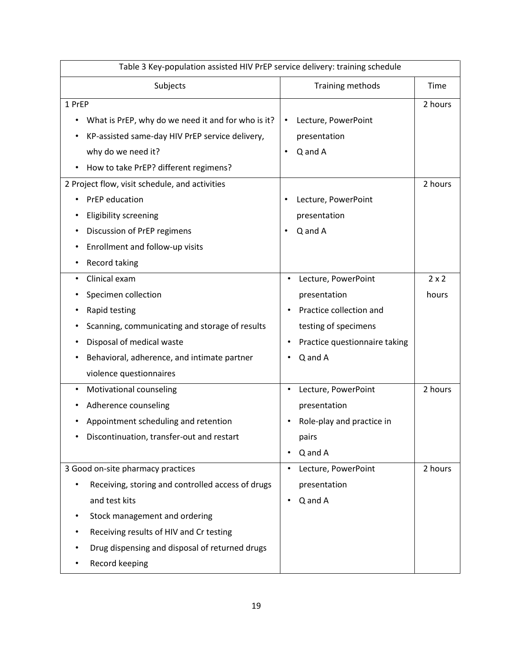| Table 3 Key-population assisted HIV PrEP service delivery: training schedule |                                            |              |  |  |
|------------------------------------------------------------------------------|--------------------------------------------|--------------|--|--|
| Subjects                                                                     | Training methods                           | Time         |  |  |
| 1 PrEP                                                                       |                                            | 2 hours      |  |  |
| What is PrEP, why do we need it and for who is it?<br>٠                      | Lecture, PowerPoint<br>$\bullet$           |              |  |  |
| KP-assisted same-day HIV PrEP service delivery,                              | presentation                               |              |  |  |
| why do we need it?                                                           | Q and A<br>$\bullet$                       |              |  |  |
| How to take PrEP? different regimens?<br>$\bullet$                           |                                            |              |  |  |
| 2 Project flow, visit schedule, and activities                               |                                            | 2 hours      |  |  |
| PrEP education                                                               | Lecture, PowerPoint                        |              |  |  |
| <b>Eligibility screening</b>                                                 | presentation                               |              |  |  |
| Discussion of PrEP regimens<br>٠                                             | Q and A<br>$\bullet$                       |              |  |  |
| Enrollment and follow-up visits                                              |                                            |              |  |  |
| Record taking<br>$\bullet$                                                   |                                            |              |  |  |
| Clinical exam<br>$\bullet$                                                   | Lecture, PowerPoint<br>$\bullet$           | $2 \times 2$ |  |  |
| Specimen collection                                                          | presentation                               | hours        |  |  |
| Rapid testing                                                                | Practice collection and                    |              |  |  |
| Scanning, communicating and storage of results                               | testing of specimens                       |              |  |  |
| Disposal of medical waste                                                    | Practice questionnaire taking<br>$\bullet$ |              |  |  |
| Behavioral, adherence, and intimate partner                                  | Q and A                                    |              |  |  |
| violence questionnaires                                                      |                                            |              |  |  |
| Motivational counseling<br>$\bullet$                                         | Lecture, PowerPoint<br>$\bullet$           | 2 hours      |  |  |
| Adherence counseling                                                         | presentation                               |              |  |  |
| Appointment scheduling and retention                                         | Role-play and practice in                  |              |  |  |
| Discontinuation, transfer-out and restart                                    | pairs                                      |              |  |  |
|                                                                              | Q and A                                    |              |  |  |
| 3 Good on-site pharmacy practices                                            | Lecture, PowerPoint                        | 2 hours      |  |  |
| Receiving, storing and controlled access of drugs                            | presentation                               |              |  |  |
| and test kits                                                                | Q and A<br>$\bullet$                       |              |  |  |
| Stock management and ordering                                                |                                            |              |  |  |
| Receiving results of HIV and Cr testing                                      |                                            |              |  |  |
| Drug dispensing and disposal of returned drugs                               |                                            |              |  |  |
| Record keeping                                                               |                                            |              |  |  |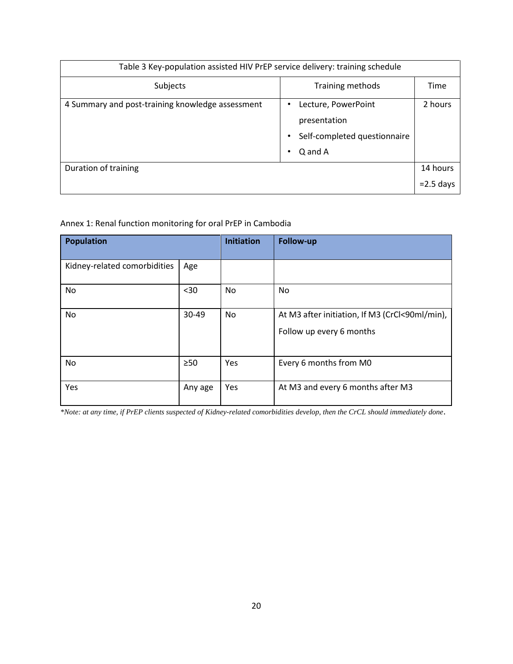| Table 3 Key-population assisted HIV PrEP service delivery: training schedule |                                                                                |              |  |  |  |
|------------------------------------------------------------------------------|--------------------------------------------------------------------------------|--------------|--|--|--|
| Subjects                                                                     | Training methods                                                               | Time         |  |  |  |
| 4 Summary and post-training knowledge assessment                             | Lecture, PowerPoint<br>presentation<br>Self-completed questionnaire<br>Q and A | 2 hours      |  |  |  |
| Duration of training                                                         |                                                                                | 14 hours     |  |  |  |
|                                                                              |                                                                                | $= 2.5$ days |  |  |  |

Annex 1: Renal function monitoring for oral PrEP in Cambodia

| <b>Population</b>            |           | <b>Initiation</b> | Follow-up                                                                  |
|------------------------------|-----------|-------------------|----------------------------------------------------------------------------|
| Kidney-related comorbidities | Age       |                   |                                                                            |
| No                           | $30$      | No                | No                                                                         |
| No                           | $30-49$   | No                | At M3 after initiation, If M3 (CrCl<90ml/min),<br>Follow up every 6 months |
| No                           | $\geq 50$ | Yes               | Every 6 months from M0                                                     |
| Yes                          | Any age   | Yes               | At M3 and every 6 months after M3                                          |

*\*Note: at any time, if PrEP clients suspected of Kidney-related comorbidities develop, then the CrCL should immediately done*.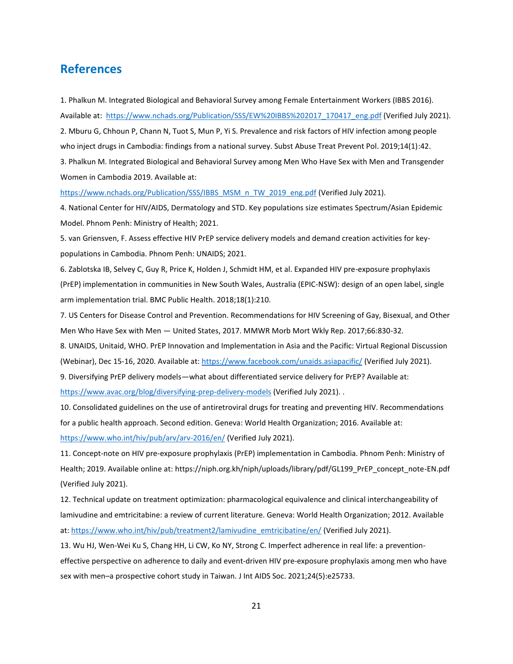# <span id="page-21-0"></span>**References**

1. Phalkun M. Integrated Biological and Behavioral Survey among Female Entertainment Workers (IBBS 2016). Available at: [https://www.nchads.org/Publication/SSS/EW%20IBBS%202017\\_170417\\_eng.pdf](https://www.nchads.org/Publication/SSS/EW%20IBBS%202017_170417_eng.pdf) (Verified July 2021). 2. Mburu G, Chhoun P, Chann N, Tuot S, Mun P, Yi S. Prevalence and risk factors of HIV infection among people

who inject drugs in Cambodia: findings from a national survey. Subst Abuse Treat Prevent Pol. 2019;14(1):42. 3. Phalkun M. Integrated Biological and Behavioral Survey among Men Who Have Sex with Men and Transgender Women in Cambodia 2019. Available at:

[https://www.nchads.org/Publication/SSS/IBBS\\_MSM\\_n\\_TW\\_2019\\_eng.pdf](https://www.nchads.org/Publication/SSS/IBBS_MSM_n_TW_2019_eng.pdf) (Verified July 2021).

4. National Center for HIV/AIDS, Dermatology and STD. Key populations size estimates Spectrum/Asian Epidemic Model. Phnom Penh: Ministry of Health; 2021.

5. van Griensven, F. Assess effective HIV PrEP service delivery models and demand creation activities for keypopulations in Cambodia. Phnom Penh: UNAIDS; 2021.

6. Zablotska IB, Selvey C, Guy R, Price K, Holden J, Schmidt HM, et al. Expanded HIV pre-exposure prophylaxis (PrEP) implementation in communities in New South Wales, Australia (EPIC-NSW): design of an open label, single arm implementation trial. BMC Public Health. 2018;18(1):210.

7. US Centers for Disease Control and Prevention. Recommendations for HIV Screening of Gay, Bisexual, and Other Men Who Have Sex with Men — United States, 2017. MMWR Morb Mort Wkly Rep. 2017;66:830-32.

8. UNAIDS, Unitaid, WHO. PrEP Innovation and Implementation in Asia and the Pacific: Virtual Regional Discussion (Webinar), Dec 15-16, 2020. Available at:<https://www.facebook.com/unaids.asiapacific/> (Verified July 2021).

9. Diversifying PrEP delivery models—what about differentiated service delivery for PrEP? Available at:

<https://www.avac.org/blog/diversifying-prep-delivery-models> (Verified July 2021). .

10. Consolidated guidelines on the use of antiretroviral drugs for treating and preventing HIV. Recommendations for a public health approach. Second edition. Geneva: World Health Organization; 2016. Available at: <https://www.who.int/hiv/pub/arv/arv-2016/en/> (Verified July 2021).

11. Concept-note on HIV pre-exposure prophylaxis (PrEP) implementation in Cambodia. Phnom Penh: Ministry of Health; 2019. Available online at: https://niph.org.kh/niph/uploads/library/pdf/GL199\_PrEP\_concept\_note-EN.pdf (Verified July 2021).

12. Technical update on treatment optimization: pharmacological equivalence and clinical interchangeability of lamivudine and emtricitabine: a review of current literature. Geneva: World Health Organization; 2012. Available at: [https://www.who.int/hiv/pub/treatment2/lamivudine\\_emtricibatine/en/](https://www.who.int/hiv/pub/treatment2/lamivudine_emtricibatine/en/) (Verified July 2021).

13. Wu HJ, Wen-Wei Ku S, Chang HH, Li CW, Ko NY, Strong C. Imperfect adherence in real life: a preventioneffective perspective on adherence to daily and event-driven HIV pre-exposure prophylaxis among men who have sex with men–a prospective cohort study in Taiwan. J Int AIDS Soc. 2021;24(5):e25733.